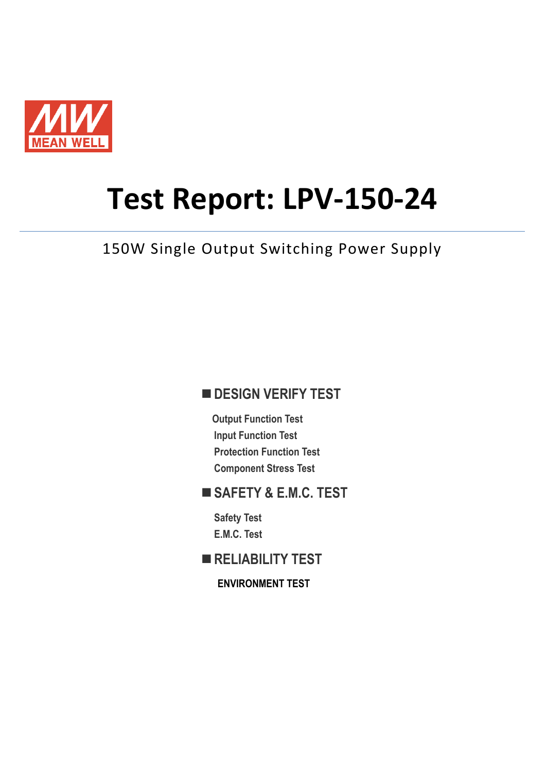

# **Test Report: LPV-150-24**

150W Single Output Switching Power Supply

#### **DESIGN VERIFY TEST**

**Output Function Test Input Function Test Protection Function Test Component Stress Test**

#### **SAFETY & E.M.C. TEST**

**Safety Test E.M.C. Test**

**RELIABILITY TEST**

**ENVIRONMENT TEST**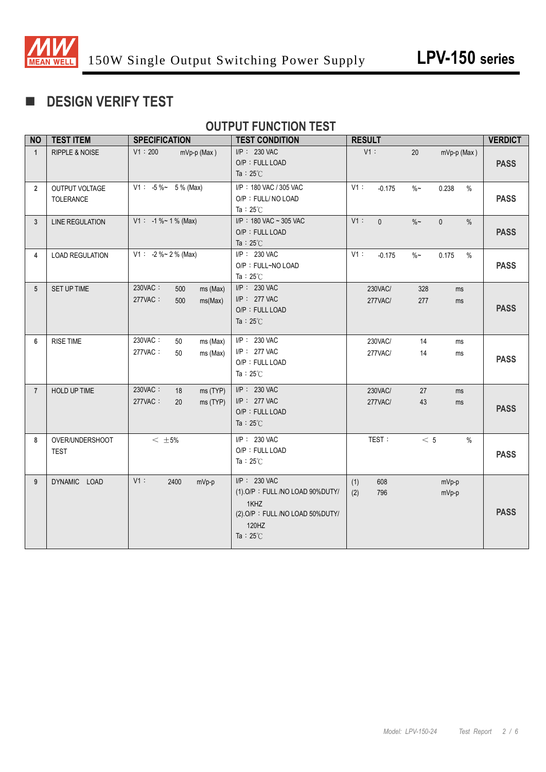

### **DESIGN VERIFY TEST**

#### **OUTPUT FUNCTION TEST**

| <b>NO</b>      | <b>TEST ITEM</b>                   | <b>SPECIFICATION</b>                                    | <b>TEST CONDITION</b>                                                                                                     | <b>RESULT</b>                                        | <b>VERDICT</b> |
|----------------|------------------------------------|---------------------------------------------------------|---------------------------------------------------------------------------------------------------------------------------|------------------------------------------------------|----------------|
| $\mathbf{1}$   | <b>RIPPLE &amp; NOISE</b>          | V1:200<br>$mVp-p$ (Max)                                 | I/P: 230 VAC<br>O/P: FULL LOAD<br>Ta : $25^{\circ}$ C                                                                     | V1:<br>20<br>$mVp-p$ (Max)                           | <b>PASS</b>    |
| $\overline{2}$ | OUTPUT VOLTAGE<br><b>TOLERANCE</b> | $V1: -5\% \sim 5\%$ (Max)                               | I/P: 180 VAC / 305 VAC<br>O/P: FULL/ NO LOAD<br>Ta: $25^{\circ}$ C                                                        | V1:<br>0.238<br>$\%$<br>$-0.175$<br>$\%$ ~           | <b>PASS</b>    |
| 3              | <b>LINE REGULATION</b>             | $V1: -1\% \sim 1\%$ (Max)                               | I/P: 180 VAC ~ 305 VAC<br>O/P: FULL LOAD<br>Ta : $25^{\circ}$ C                                                           | V1:<br>$\mathbf{0}$<br>$\%$ ~<br>$\mathbf 0$<br>$\%$ | <b>PASS</b>    |
| 4              | <b>LOAD REGULATION</b>             | $V1: -2\%~2\%$ (Max)                                    | $I/P$ : 230 VAC<br>O/P: FULL~NO LOAD<br>Ta: $25^{\circ}$ C                                                                | V1:<br>$-0.175$<br>$\%$ ~<br>0.175<br>$\%$           | <b>PASS</b>    |
| 5              | SET UP TIME                        | 230VAC:<br>500<br>ms (Max)<br>277VAC:<br>500<br>ms(Max) | I/P: 230 VAC<br>$I/P$ : 277 VAC<br>O/P: FULL LOAD<br>Ta: $25^{\circ}$ C                                                   | 230VAC/<br>328<br>ms<br>277VAC/<br>277<br>ms         | <b>PASS</b>    |
| 6              | <b>RISE TIME</b>                   | 230VAC:<br>50<br>ms (Max)<br>277VAC:<br>50<br>ms (Max)  | I/P: 230 VAC<br>I/P: 277 VAC<br>O/P: FULL LOAD<br>Ta: $25^{\circ}$ C                                                      | 230VAC/<br>14<br>ms<br>277VAC/<br>14<br>ms           | <b>PASS</b>    |
| $\overline{7}$ | <b>HOLD UP TIME</b>                | 230VAC:<br>ms (TYP)<br>18<br>277VAC:<br>ms (TYP)<br>20  | I/P: 230 VAC<br>I/P: 277 VAC<br>O/P: FULL LOAD<br>Ta : $25^{\circ}$ C                                                     | 230VAC/<br>27<br>ms<br>277VAC/<br>43<br>ms           | <b>PASS</b>    |
| 8              | OVER/UNDERSHOOT<br><b>TEST</b>     | $<~\pm$ 5%                                              | I/P: 230 VAC<br>O/P: FULL LOAD<br>Ta: $25^\circ$ C                                                                        | TEST:<br>< 5<br>$\%$                                 | <b>PASS</b>    |
| 9              | DYNAMIC LOAD                       | $V1$ :<br>2400<br>mVp-p                                 | I/P: 230 VAC<br>(1).O/P: FULL /NO LOAD 90%DUTY/<br>1KHZ<br>(2) O/P: FULL /NO LOAD 50%DUTY/<br>120HZ<br>Ta: $25^{\circ}$ C | 608<br>(1)<br>mVp-p<br>796<br>(2)<br>mVp-p           | <b>PASS</b>    |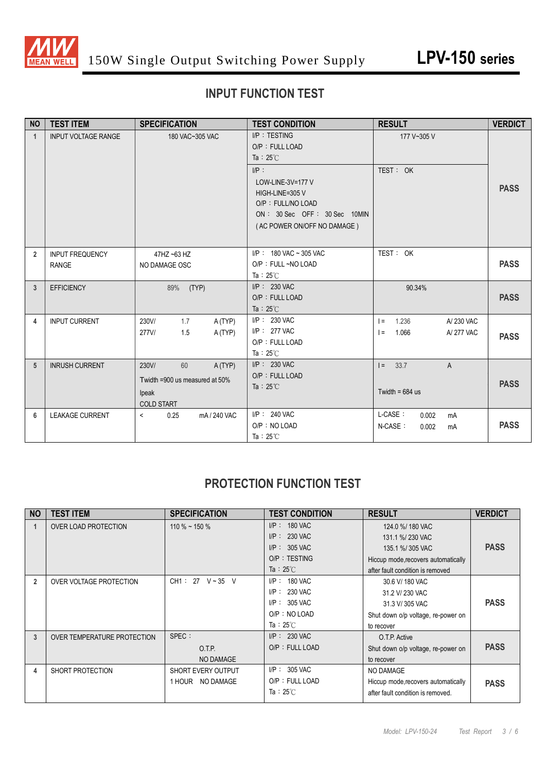

#### **INPUT FUNCTION TEST**

| <b>NO</b>       | <b>TEST ITEM</b>                       | <b>SPECIFICATION</b>                                                                  | <b>TEST CONDITION</b>                                                                                                               | <b>RESULT</b>                                                      | <b>VERDICT</b> |
|-----------------|----------------------------------------|---------------------------------------------------------------------------------------|-------------------------------------------------------------------------------------------------------------------------------------|--------------------------------------------------------------------|----------------|
| $\mathbf{1}$    | <b>INPUT VOLTAGE RANGE</b>             | 180 VAC~305 VAC                                                                       | $I/P$ : TESTING<br>O/P: FULL LOAD<br>Ta : $25^{\circ}$ C                                                                            | 177 V~305 V                                                        |                |
|                 |                                        |                                                                                       | $I/P$ :<br>LOW-LINE-3V=177 V<br>HIGH-LINE=305 V<br>O/P: FULL/NO LOAD<br>ON: 30 Sec OFF: 30 Sec 10MIN<br>(AC POWER ON/OFF NO DAMAGE) | TEST: OK                                                           | <b>PASS</b>    |
| $\overline{2}$  | <b>INPUT FREQUENCY</b><br><b>RANGE</b> | 47HZ ~63 HZ<br>NO DAMAGE OSC                                                          | $I/P$ : 180 VAC ~ 305 VAC<br>O/P: FULL ~NO LOAD<br>Ta : $25^{\circ}$ C                                                              | TEST: OK                                                           | <b>PASS</b>    |
| $\mathbf{3}$    | <b>EFFICIENCY</b>                      | (TYP)<br>89%                                                                          | $I/P$ : 230 VAC<br>O/P: FULL LOAD<br>Ta : $25^{\circ}$ C                                                                            | 90.34%                                                             | <b>PASS</b>    |
| 4               | <b>INPUT CURRENT</b>                   | 230V/<br>1.7<br>A (TYP)<br>A (TYP)<br>277V/<br>1.5                                    | $I/P$ : 230 VAC<br>I/P: 277 VAC<br>O/P: FULL LOAD<br>Ta: $25^{\circ}$ C                                                             | 1.236<br>A/230 VAC<br>$\vert =$<br>1.066<br>A/277 VAC<br>$\vert$ = | <b>PASS</b>    |
| $5\phantom{.0}$ | <b>INRUSH CURRENT</b>                  | 60<br>A(TYP)<br>230V/<br>Twidth =900 us measured at 50%<br>Ipeak<br><b>COLD START</b> | I/P: 230 VAC<br>O/P: FULL LOAD<br>Ta: $25^{\circ}$ C                                                                                | 33.7<br>$\overline{A}$<br>$\vert$ =<br>Twidth = $684$ us           | <b>PASS</b>    |
| 6               | <b>LEAKAGE CURRENT</b>                 | 0.25<br>mA / 240 VAC<br>$\prec$                                                       | $I/P$ : 240 VAC<br>O/P: NO LOAD<br>Ta: $25^{\circ}$ C                                                                               | L-CASE:<br>0.002<br>mA<br>N-CASE:<br>0.002<br>mA                   | <b>PASS</b>    |

#### **PROTECTION FUNCTION TEST**

| <b>NO</b>      | <b>TEST ITEM</b>            | <b>SPECIFICATION</b>              | <b>TEST CONDITION</b> | <b>RESULT</b>                       | <b>VERDICT</b> |
|----------------|-----------------------------|-----------------------------------|-----------------------|-------------------------------------|----------------|
|                | OVER LOAD PROTECTION        | $110\%$ ~ 150 %                   | $I/P: 180$ VAC        | 124.0 %/ 180 VAC                    |                |
|                |                             |                                   | $I/P$ : 230 VAC       | 131.1 %/230 VAC                     |                |
|                |                             |                                   | $I/P$ : 305 VAC       | 135.1 %/305 VAC                     | <b>PASS</b>    |
|                |                             |                                   | $O/P$ : TESTING       | Hiccup mode, recovers automatically |                |
|                |                             |                                   | Ta : $25^{\circ}$ C   | after fault condition is removed    |                |
| $\overline{2}$ | OVER VOLTAGE PROTECTION     | $CH1: 27 \quad V \sim 35 \quad V$ | $I/P: 180$ VAC        | 30.6 V/ 180 VAC                     |                |
|                |                             |                                   | $I/P: 230$ VAC        | 31.2 V/ 230 VAC                     |                |
|                |                             |                                   | $I/P: 305$ VAC        | 31.3 V/305 VAC                      | <b>PASS</b>    |
|                |                             |                                   | O/P : NO LOAD         | Shut down o/p voltage, re-power on  |                |
|                |                             |                                   | Ta: $25^{\circ}$ C    | to recover                          |                |
| 3              | OVER TEMPERATURE PROTECTION | SPEC :                            | $I/P$ : 230 VAC       | O.T.P. Active                       |                |
|                |                             | O.T.P.                            | O/P: FULL LOAD        | Shut down o/p voltage, re-power on  | <b>PASS</b>    |
|                |                             | NO DAMAGE                         |                       | to recover                          |                |
| 4              | SHORT PROTECTION            | <b>SHORT EVERY OUTPUT</b>         | $I/P$ : 305 VAC       | NO DAMAGE                           |                |
|                |                             | 1 HOUR NO DAMAGE                  | O/P: FULL LOAD        | Hiccup mode, recovers automatically | <b>PASS</b>    |
|                |                             |                                   | Ta: 25 $\degree$ C    | after fault condition is removed.   |                |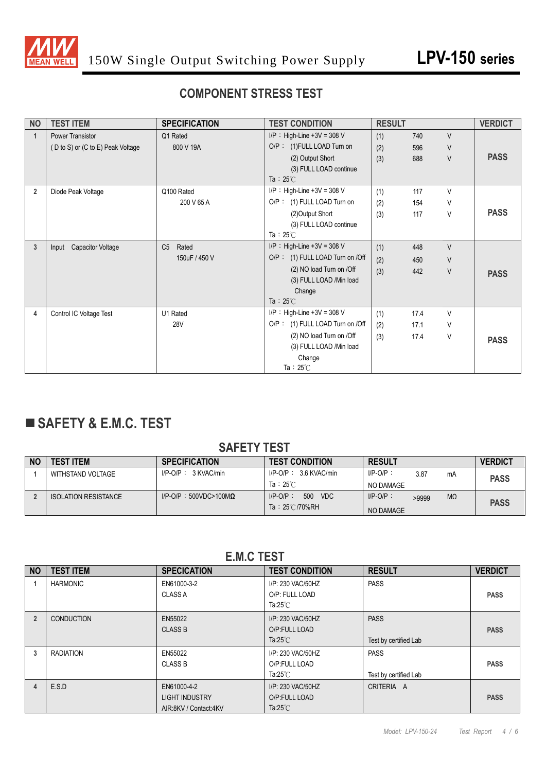

#### **COMPONENT STRESS TEST**

| <b>NO</b>      | <b>TEST ITEM</b>                  | <b>SPECIFICATION</b>    | <b>TEST CONDITION</b>           | <b>RESULT</b> |      |        | <b>VERDICT</b> |
|----------------|-----------------------------------|-------------------------|---------------------------------|---------------|------|--------|----------------|
| $\mathbf{1}$   | <b>Power Transistor</b>           | Q1 Rated                | $I/P$ : High-Line +3V = 308 V   | (1)           | 740  | $\vee$ |                |
|                | (D to S) or (C to E) Peak Voltage | 800 V 19A               | O/P: (1)FULL LOAD Turn on       | (2)           | 596  | V      |                |
|                |                                   |                         | (2) Output Short                | (3)           | 688  | $\vee$ | <b>PASS</b>    |
|                |                                   |                         | (3) FULL LOAD continue          |               |      |        |                |
|                |                                   |                         | Ta : $25^{\circ}$ C             |               |      |        |                |
| $\overline{2}$ | Diode Peak Voltage                | Q100 Rated              | $I/P$ : High-Line +3V = 308 V   | (1)           | 117  | V      |                |
|                |                                   | 200 V 65 A              | O/P: (1) FULL LOAD Turn on      | (2)           | 154  | V      |                |
|                |                                   |                         | (2) Output Short                | (3)           | 117  | V      | <b>PASS</b>    |
|                |                                   |                         | (3) FULL LOAD continue          |               |      |        |                |
|                |                                   |                         | Ta: $25^\circ$ C                |               |      |        |                |
| $\mathbf{3}$   | <b>Capacitor Voltage</b><br>Input | Rated<br>C <sub>5</sub> | $I/P$ : High-Line +3V = 308 V   | (1)           | 448  | $\vee$ |                |
|                |                                   | 150uF / 450 V           | O/P: (1) FULL LOAD Turn on /Off | (2)           | 450  | $\vee$ |                |
|                |                                   |                         | (2) NO load Turn on /Off        | (3)           | 442  | V      | <b>PASS</b>    |
|                |                                   |                         | (3) FULL LOAD /Min load         |               |      |        |                |
|                |                                   |                         | Change                          |               |      |        |                |
|                |                                   |                         | Ta : $25^{\circ}$ C             |               |      |        |                |
| 4              | Control IC Voltage Test           | U1 Rated                | $I/P$ : High-Line +3V = 308 V   | (1)           | 17.4 | $\vee$ |                |
|                |                                   | <b>28V</b>              | O/P: (1) FULL LOAD Turn on /Off | (2)           | 17.1 | V      |                |
|                |                                   |                         | (2) NO load Turn on /Off        | (3)           | 17.4 | V      | <b>PASS</b>    |
|                |                                   |                         | (3) FULL LOAD /Min load         |               |      |        |                |
|                |                                   |                         | Change                          |               |      |        |                |
|                |                                   |                         | Ta: $25^{\circ}$ C              |               |      |        |                |

## **SAFETY & E.M.C. TEST**

#### **SAFETY TEST**

| <b>NO</b> | <b>TEST ITEM</b>            | <b>SPECIFICATION</b>             | <b>TEST CONDITION</b>      | <b>RESULT</b>              | <b>VERDICT</b> |  |
|-----------|-----------------------------|----------------------------------|----------------------------|----------------------------|----------------|--|
|           | WITHSTAND VOLTAGE           | $I/P$ -O/P: $3$ KVAC/min         | $I/P$ -O/P: 3.6 KVAC/min   | $I/P-O/P$ :<br>3.87<br>mA  | <b>PASS</b>    |  |
|           |                             |                                  | Ta: $25^\circ$ C           | NO DAMAGE                  |                |  |
|           | <b>ISOLATION RESISTANCE</b> | $I/P$ -O/P: 500VDC>100M $\Omega$ | 500<br>VDC.<br>$I/P-O/P$ : | $I/P-O/P$ :<br>MΩ<br>>9999 |                |  |
|           |                             |                                  | Ta: 25°C/70%RH             | NO DAMAGE                  | <b>PASS</b>    |  |

**E.M.C TEST**

| <b>NO</b>      | <b>TEST ITEM</b>  | <b>SPECICATION</b>                                            | <b>TEST CONDITION</b>                                     | <b>RESULT</b>                        | <b>VERDICT</b> |
|----------------|-------------------|---------------------------------------------------------------|-----------------------------------------------------------|--------------------------------------|----------------|
|                | <b>HARMONIC</b>   | EN61000-3-2<br><b>CLASS A</b>                                 | I/P: 230 VAC/50HZ<br>O/P: FULL LOAD<br>Ta: $25^{\circ}$ C | <b>PASS</b>                          | <b>PASS</b>    |
| $\overline{2}$ | <b>CONDUCTION</b> | EN55022<br><b>CLASS B</b>                                     | I/P: 230 VAC/50HZ<br>O/P:FULL LOAD<br>Ta: $25^{\circ}$ C  | <b>PASS</b><br>Test by certified Lab | <b>PASS</b>    |
| 3              | <b>RADIATION</b>  | EN55022<br><b>CLASS B</b>                                     | I/P: 230 VAC/50HZ<br>O/P:FULL LOAD<br>Ta: $25^{\circ}$ C  | <b>PASS</b><br>Test by certified Lab | <b>PASS</b>    |
| 4              | E.S.D             | EN61000-4-2<br><b>LIGHT INDUSTRY</b><br>AIR:8KV / Contact:4KV | I/P: 230 VAC/50HZ<br>O/P:FULL LOAD<br>Ta: $25^{\circ}$ C  | CRITERIA A                           | <b>PASS</b>    |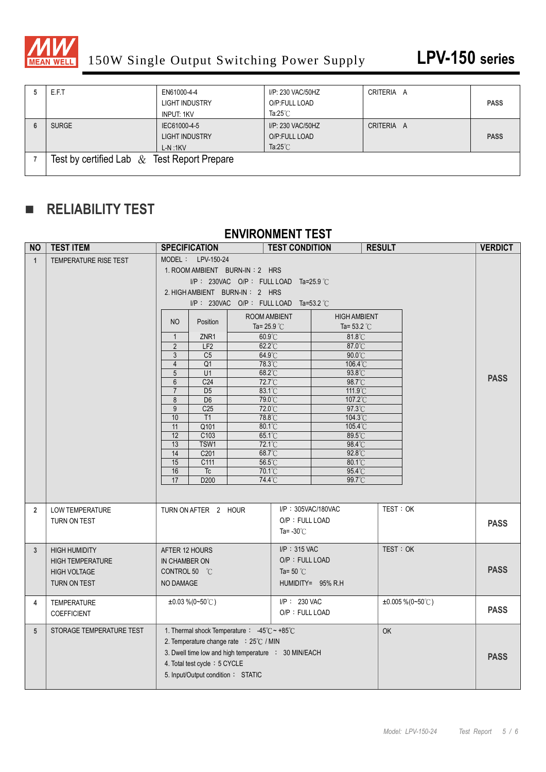

| E.F.T                                          | EN61000-4-4<br><b>LIGHT INDUSTRY</b><br>INPUT: 1KV | I/P: 230 VAC/50HZ<br>O/P:FULL LOAD<br>Ta: $25^{\circ}$ C | CRITERIA A | <b>PASS</b> |
|------------------------------------------------|----------------------------------------------------|----------------------------------------------------------|------------|-------------|
| <b>SURGE</b>                                   | IEC61000-4-5<br><b>LIGHT INDUSTRY</b><br>$L-N.1KV$ | I/P: 230 VAC/50HZ<br>O/P:FULL LOAD<br>Ta: $25^{\circ}$ C | CRITERIA A | <b>PASS</b> |
| Test by certified Lab $\&$ Test Report Prepare |                                                    |                                                          |            |             |

### **RELIABILITY TEST**

#### **ENVIRONMENT TEST**

| <b>NO</b>       | <b>TEST ITEM</b>                                                                       | <b>SPECIFICATION</b>                                                                                                                                                                                                                                                                                                                                                                                                                                                       |                                                                                                                                                                                                                     | <b>TEST CONDITION</b>                                                                                                                                                                                                                                                       |                                                                                                                                                                                              | <b>RESULT</b> |                        | <b>VERDICT</b> |
|-----------------|----------------------------------------------------------------------------------------|----------------------------------------------------------------------------------------------------------------------------------------------------------------------------------------------------------------------------------------------------------------------------------------------------------------------------------------------------------------------------------------------------------------------------------------------------------------------------|---------------------------------------------------------------------------------------------------------------------------------------------------------------------------------------------------------------------|-----------------------------------------------------------------------------------------------------------------------------------------------------------------------------------------------------------------------------------------------------------------------------|----------------------------------------------------------------------------------------------------------------------------------------------------------------------------------------------|---------------|------------------------|----------------|
| $\mathbf{1}$    | TEMPERATURE RISE TEST                                                                  | MODEL: LPV-150-24<br>1. ROOM AMBIENT BURN-IN: 2 HRS<br>2. HIGH AMBIENT BURN-IN: 2 HRS<br>N <sub>O</sub><br>Position<br>ZNR1<br>$\mathbf{1}$<br>$\overline{2}$<br>LF <sub>2</sub><br>$\mathfrak{Z}$<br>C <sub>5</sub><br>$\overline{4}$<br>Q <sub>1</sub><br>5<br>U1<br>$6\phantom{1}$<br>C <sub>24</sub><br>$\overline{7}$<br>D <sub>5</sub><br>8<br>D <sub>6</sub><br>$\overline{9}$<br>C <sub>25</sub><br>10<br>T1<br>11<br>Q101<br>C <sub>103</sub><br>12<br>TSW1<br>13 |                                                                                                                                                                                                                     | I/P: 230VAC O/P: FULL LOAD Ta=25.9 °C<br>I/P: 230VAC O/P: FULL LOAD Ta=53.2 $\degree$ C<br>ROOM AMBIENT<br>Ta= $25.9^{\circ}$ C<br>60.9°C<br>$62.2^{\circ}$ C<br>64.9°C<br>78.3°C<br>68.2°C<br>72.7°C<br>83.1°C<br>79.0°C<br>72.0°C<br>78.8°C<br>80.1°C<br>65.1°C<br>72.1°C | <b>HIGH AMBIENT</b><br>Ta= $53.2^{\circ}$ C<br>$81.8^{\circ}$ C<br>87.0°C<br>90.0°C<br>106.4°C<br>93.8°C<br>98.7°C<br>111.9°C<br>107.2°C<br>97.3°C<br>104.3°C<br>105.4°C<br>89.5°C<br>98.4°C |               |                        | <b>PASS</b>    |
|                 |                                                                                        | 14<br>C201<br>15<br>C111<br>16<br>Tc<br>D200<br>17                                                                                                                                                                                                                                                                                                                                                                                                                         |                                                                                                                                                                                                                     | 68.7°C<br>$56.5^{\circ}$ C<br>70.1°C<br>74.4°C                                                                                                                                                                                                                              | $92.8^{\circ}$ C<br>80.1°C<br>95.4°C<br>99.7°C                                                                                                                                               |               |                        |                |
| $\overline{2}$  | LOW TEMPERATURE<br>TURN ON TEST                                                        | TURN ON AFTER 2 HOUR                                                                                                                                                                                                                                                                                                                                                                                                                                                       |                                                                                                                                                                                                                     | I/P: 305VAC/180VAC<br>O/P: FULL LOAD<br>Ta= $-30^{\circ}$ C                                                                                                                                                                                                                 |                                                                                                                                                                                              | TEST: OK      |                        | <b>PASS</b>    |
| $\mathbf{3}$    | <b>HIGH HUMIDITY</b><br><b>HIGH TEMPERATURE</b><br><b>HIGH VOLTAGE</b><br>TURN ON TEST | AFTER 12 HOURS<br>IN CHAMBER ON<br>CONTROL 50 °C<br>NO DAMAGE                                                                                                                                                                                                                                                                                                                                                                                                              |                                                                                                                                                                                                                     | I/P: 315 VAC<br>O/P: FULL LOAD<br>Ta= 50 $°C$                                                                                                                                                                                                                               | HUMIDITY= 95% R.H                                                                                                                                                                            | TEST: OK      |                        | <b>PASS</b>    |
| $\overline{4}$  | <b>TEMPERATURE</b><br><b>COEFFICIENT</b>                                               | $\pm 0.03\%$ (0~50°C)                                                                                                                                                                                                                                                                                                                                                                                                                                                      |                                                                                                                                                                                                                     | I/P: 230 VAC<br>O/P: FULL LOAD                                                                                                                                                                                                                                              |                                                                                                                                                                                              |               | $\pm 0.005\%$ (0~50°C) | <b>PASS</b>    |
| $5\phantom{.0}$ | STORAGE TEMPERATURE TEST                                                               |                                                                                                                                                                                                                                                                                                                                                                                                                                                                            | 1. Thermal shock Temperature: -45°C ~ +85°C<br>2. Temperature change rate : 25°C / MIN<br>3. Dwell time low and high temperature : 30 MIN/EACH<br>4. Total test cycle: 5 CYCLE<br>5. Input/Output condition: STATIC |                                                                                                                                                                                                                                                                             |                                                                                                                                                                                              | OK            |                        | <b>PASS</b>    |